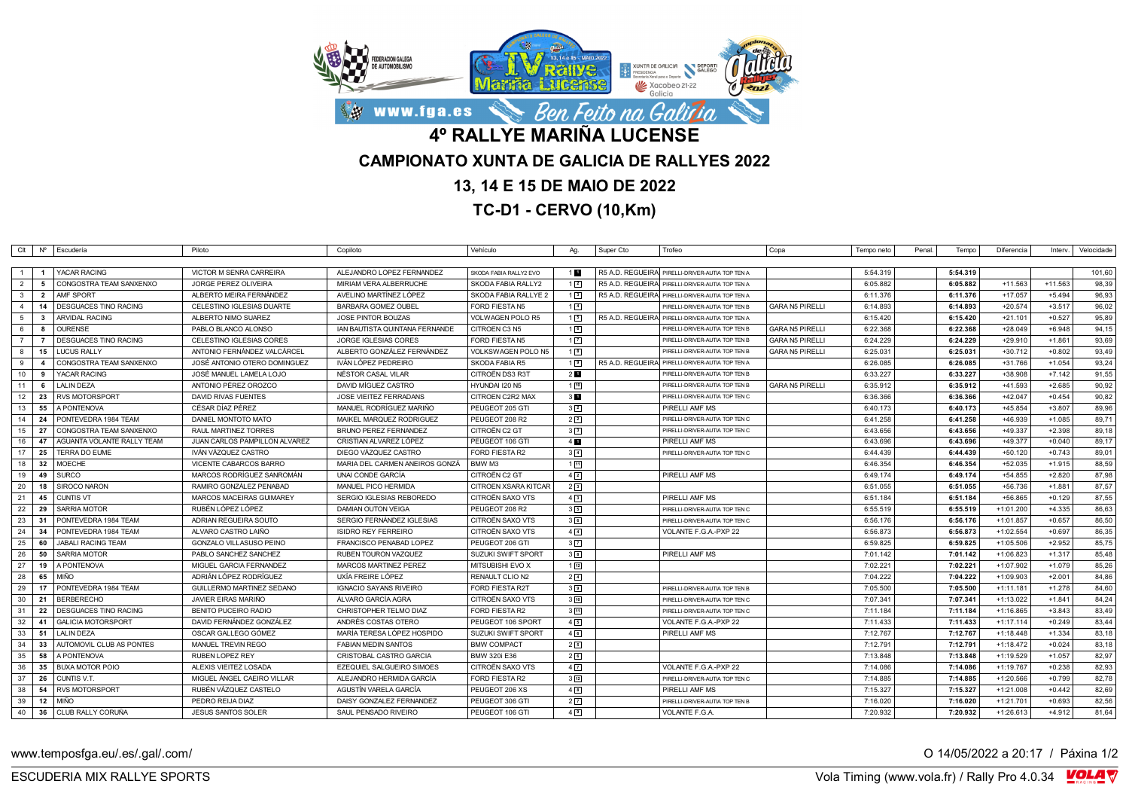

## **13, 14 E 15 DE MAIO DE 2022**

**TC-D1 - CERVO (10,Km)**

|                 |                         | CIt Nº Escudería             | Piloto                         | Copiloto                       | Vehículo                | Aq.             | Super Cto | Trofeo                                          | Copa                   | Tempo neto | Penal | Tempo    | Diferencia  | Interv.   | Velocidade |
|-----------------|-------------------------|------------------------------|--------------------------------|--------------------------------|-------------------------|-----------------|-----------|-------------------------------------------------|------------------------|------------|-------|----------|-------------|-----------|------------|
|                 |                         |                              |                                |                                |                         |                 |           |                                                 |                        |            |       |          |             |           |            |
|                 |                         | <b>YACAR RACING</b>          | <b>VICTOR M SENRA CARREIRA</b> | ALEJANDRO LOPEZ FERNANDEZ      | SKODA FABIA RALLY2 EVO  | 1 <sub>1</sub>  |           | R5 A.D. REGUEIRA PIRELLI-DRIVER-AUTIA TOP TEN A |                        | 5:54.319   |       | 5:54.319 |             |           | 101,60     |
| $\overline{2}$  | - 5                     | CONGOSTRA TEAM SANXENXO      | <b>JORGE PEREZ OLIVEIRA</b>    | MIRIAM VERA ALBERRUCHE         | SKODA FABIA RALLY2      | $1\sqrt{2}$     |           | R5 A.D. REGUEIRA PIRELLI-DRIVER-AUTIA TOP TEN A |                        | 6:05.882   |       | 6:05.882 | $+11.563$   | $+11.563$ | 98,39      |
| $\mathbf{3}$    | $\overline{\mathbf{2}}$ | <b>AMF SPORT</b>             | ALBERTO MEIRA FERNÁNDEZ        | AVELINO MARTÍNEZ LÓPEZ         | SKODA FABIA RALLYE 2    | $1\sqrt{3}$     |           | R5 A.D. REGUEIRA PIRELLI-DRIVER-AUTIA TOP TEN A |                        | 6:11.376   |       | 6:11.376 | $+17.057$   | $+5.494$  | 96,93      |
| $\overline{4}$  | 14                      | <b>DESGUACES TINO RACING</b> | CELESTINO IGLESIAS DUARTE      | BARBARA GOMEZ OUBEL            | <b>FORD FIESTA N5</b>   | $1\sqrt{4}$     |           | PIRELLI-DRIVER-AUTIA TOP TEN B                  | <b>GARA N5 PIRELLI</b> | 6:14.893   |       | 6:14.893 | $+20.574$   | $+3.517$  | 96,02      |
| 5               | $\mathbf{3}$            | ARVIDAL RACING               | ALBERTO NIMO SUAREZ            | <b>JOSE PINTOR BOUZAS</b>      | VOLWAGEN POLO R5        | 15              |           | R5 A.D. REGUEIRA PIRELLI-DRIVER-AUTIA TOP TEN A |                        | 6:15.420   |       | 6:15.420 | $+21.101$   | $+0.527$  | 95,89      |
| 6               | - 8                     | <b>OURENSE</b>               | PABLO BLANCO ALONSO            | IAN BAUTISTA QUINTANA FERNANDE | CITROEN C3 N5           | 16              |           | PIRELLI-DRIVER-AUTIA TOP TEN B                  | <b>GARA N5 PIRELLI</b> | 6:22.368   |       | 6:22.368 | $+28.049$   | $+6.948$  | 94,15      |
| $\overline{7}$  |                         | <b>DESGUACES TINO RACING</b> | CELESTINO IGLESIAS CORES       | <b>JORGE IGLESIAS CORES</b>    | FORD FIESTA N5          | $1\overline{2}$ |           | PIRELLI-DRIVER-AUTIA TOP TEN B                  | <b>GARA N5 PIRELLI</b> | 6:24.229   |       | 6:24.229 | $+29.910$   | $+1.861$  | 93,69      |
| 8               | 15                      | <b>LUCUS RALLY</b>           | ANTONIO FERNÁNDEZ VALCÁRCEL    | ALBERTO GONZÁLEZ FERNÁNDEZ     | VOLKSWAGEN POLO N5      | 1 <sub>8</sub>  |           | PIRELLI-DRIVER-AUTIA TOP TEN B                  | <b>GARA N5 PIRELLI</b> | 6:25.031   |       | 6:25.031 | $+30.712$   | $+0.802$  | 93,49      |
| 9               | 4                       | CONGOSTRA TEAM SANXENXO      | JOSÉ ANTONIO OTERO DOMINGUEZ   | IVÁN LÓPEZ PEDREIRO            | <b>SKODA FABIA R5</b>   | 19              |           | R5 A.D. REGUEIRA PIRELLI-DRIVER-AUTIA TOP TEN A |                        | 6:26.085   |       | 6:26.085 | $+31.766$   | $+1.054$  | 93,24      |
| 10              | 9                       | YACAR RACING                 | JOSÉ MANUEL LAMELA LOJO        | NÉSTOR CASAL VILAR             | CITROËN DS3 R3T         | 2 <sub>1</sub>  |           | PIRELLI-DRIVER-AUTIA TOP TEN B                  |                        | 6:33.227   |       | 6:33.227 | +38.908     | $+7.142$  | 91,55      |
| 11              | - 6                     | LALIN DEZA                   | ANTONIO PÉREZ OROZCO           | DAVID MÍGUEZ CASTRO            | HYUNDAI I20 N5          | 110             |           | PIRELLI-DRIVER-AUTIA TOP TEN B                  | <b>GARA N5 PIRELLI</b> | 6:35.912   |       | 6:35.912 | +41.593     | $+2.685$  | 90,92      |
| 12              | 23                      | <b>RVS MOTORSPORT</b>        | DAVID RIVAS FUENTES            | JOSE VIEITEZ FERRADANS         | CITROEN C2R2 MAX        | 3 <sub>1</sub>  |           | PIRELLI-DRIVER-AUTIA TOP TEN C                  |                        | 6:36.366   |       | 6:36.366 | $+42.047$   | $+0.454$  | 90,82      |
| 13 <sup>1</sup> | 55                      | A PONTENOVA                  | CÉSAR DIAZ PÉREZ               | MANUEL RODRIGUEZ MARIÑO        | PEUGEOT 205 GTI         | $3\sqrt{2}$     |           | PIRELLI AMF MS                                  |                        | 6:40.173   |       | 6:40.173 | +45.854     | $+3.807$  | 89,96      |
| 14              | -24                     | PONTEVEDRA 1984 TEAM         | DANIEL MONTOTO MATO            | MAIKEL MARQUEZ RODRIGUEZ       | PEUGEOT 208 R2          | 2 <sup>2</sup>  |           | PIRELLI-DRIVER-AUTIA TOP TEN C                  |                        | 6:41.258   |       | 6:41.258 | +46.939     | $+1.085$  | 89,71      |
| 15              | 27                      | CONGOSTRA TEAM SANXENXO      | RAUL MARTINEZ TORRES           | <b>BRUNO PEREZ FERNANDEZ</b>   | CITROËN C2 GT           | 3 <sup>3</sup>  |           | PIRELLI-DRIVER-AUTIA TOP TEN C                  |                        | 6:43.656   |       | 6:43.656 | $+49.337$   | $+2.398$  | 89,18      |
| 16              | 47                      | AGUANTA VOLANTE RALLY TEAM   | JUAN CARLOS PAMPILLON ALVAREZ  | CRISTIAN ALVAREZ LÓPEZ         | PEUGEOT 106 GTI         | $4 \mathbf{6}$  |           | PIRELLI AMF MS                                  |                        | 6:43.696   |       | 6:43.696 | +49.377     | $+0.040$  | 89,17      |
| 17              | 25                      | <b>TERRA DO EUME</b>         | IVAN VAZQUEZ CASTRO            | DIEGO VÁZQUEZ CASTRO           | FORD FIESTA R2          | $3\sqrt{4}$     |           | PIRELLI-DRIVER-AUTIA TOP TEN C                  |                        | 6:44.439   |       | 6:44.439 | $+50.120$   | $+0.743$  | 89,01      |
| 18              | 32                      | <b>MOECHE</b>                | VICENTE CABARCOS BARRO         | MARIA DEL CARMEN ANEIROS GONZÁ | <b>BMW M3</b>           | 111             |           |                                                 |                        | 6:46.354   |       | 6:46.354 | $+52.035$   | $+1.915$  | 88,59      |
| 19              | 49                      | <b>SURCO</b>                 | MARCOS RODRÍGUEZ SANROMÁN      | UNAI CONDE GARCÍA              | CITROËN C2 GT           | $4\sqrt{2}$     |           | PIRELLI AMF MS                                  |                        | 6:49.174   |       | 6:49.174 | $+54.855$   | $+2.820$  | 87,98      |
| 20              | 18                      | SIROCO NARON                 | RAMIRO GONZÁLEZ PENABAD        | MANUEL PICO HERMIDA            | CITROEN XSARA KITCAR    | 2 <sup>3</sup>  |           |                                                 |                        | 6:51.055   |       | 6:51.055 | $+56.736$   | $+1.881$  | 87,57      |
| 21              | 45                      | <b>CUNTIS VT</b>             | MARCOS MACEIRAS GUIMAREY       | SERGIO IGLESIAS REBOREDO       | CITROËN SAXO VTS        | 4 <sup>3</sup>  |           | PIRELLI AMF MS                                  |                        | 6:51.184   |       | 6:51.184 | $+56.865$   | $+0.129$  | 87,55      |
| 22              | 29                      | <b>SARRIA MOTOR</b>          | RUBÉN LÓPEZ LÓPEZ              | <b>DAMIAN OUTON VEIGA</b>      | PEUGEOT 208 R2          | 35              |           | PIRELLI-DRIVER-AUTIA TOP TEN C                  |                        | 6:55.519   |       | 6:55.519 | $+1:01.200$ | $+4.335$  | 86,63      |
| 23              | - 31                    | PONTEVEDRA 1984 TEAM         | ADRIAN REGUEIRA SOUTO          | SERGIO FERNÁNDEZ IGLESIAS      | <b>CITROËN SAXO VTS</b> | 36              |           | PIRELLI-DRIVER-AUTIA TOP TEN C                  |                        | 6:56.176   |       | 6:56.176 | $+1:01.857$ | $+0.657$  | 86,50      |
| 24              | 34                      | PONTEVEDRA 1984 TEAM         | ALVARO CASTRO LAIÑO            | <b>ISIDRO REY FERREIRO</b>     | CITROËN SAXO VTS        | $4\sqrt{4}$     |           | VOLANTE F.G.A.-PXP 22                           |                        | 6:56.873   |       | 6:56.873 | $+1:02.554$ | $+0.697$  | 86,35      |
| 25              | 60                      | <b>JABALI RACING TEAM</b>    | GONZALO VILLASUSO PEINO        | FRANCISCO PENABAD LOPEZ        | PEUGEOT 206 GTI         | 3 <sup>7</sup>  |           |                                                 |                        | 6:59.825   |       | 6:59.825 | $+1:05.506$ | $+2.952$  | 85,75      |
| 26              | 50                      | <b>SARRIA MOTOR</b>          | PABLO SANCHEZ SANCHEZ          | RUBEN TOURON VAZQUEZ           | SUZUKI SWIFT SPORT      | $3^8$           |           | PIRELLI AMF MS                                  |                        | 7:01.142   |       | 7:01.142 | $+1:06.823$ | $+1.317$  | 85,48      |
| 27              | 19                      | A PONTENOVA                  | MIGUEL GARCIA FERNANDEZ        | MARCOS MARTINEZ PEREZ          | MITSUBISHI EVO X        | $1\sqrt{12}$    |           |                                                 |                        | 7:02.221   |       | 7:02.221 | $+1:07.902$ | $+1.079$  | 85,26      |
| 28              | 65                      | <b>MIÑO</b>                  | ADRIÁN LÓPEZ RODRÍGUEZ         | UXÍA FREIRE LÓPEZ              | RENAULT CLIO N2         | $2\sqrt{4}$     |           |                                                 |                        | 7:04.222   |       | 7:04.222 | $+1:09.903$ | $+2.001$  | 84,86      |
| 29              | 17                      | PONTEVEDRA 1984 TEAM         | GUILLERMO MARTINEZ SEDANO      | <b>IGNACIO SAYANS RIVEIRO</b>  | <b>FORD FIESTA R2T</b>  | 3 <sup>9</sup>  |           | PIRELLI-DRIVER-AUTIA TOP TEN B                  |                        | 7:05.500   |       | 7:05.500 | $+1:11.181$ | $+1.278$  | 84,60      |
| 30              | - 21                    | <b>BERBERECHO</b>            | JAVIER EIRAS MARIÑO            | ÁLVARO GARCÍA AGRA             | CITROËN SAXO VTS        | $3\sqrt{10}$    |           | PIRELLI-DRIVER-AUTIA TOP TEN C                  |                        | 7:07.341   |       | 7:07.341 | $+1:13.022$ | $+1.841$  | 84,24      |
| 31              | - 22                    | DESGUACES TINO RACING        | <b>BENITO PUCEIRO RADIO</b>    | CHRISTOPHER TELMO DIAZ         | FORD FIESTA R2          | $3\sqrt{11}$    |           | PIRELLI-DRIVER-AUTIA TOP TEN C                  |                        | 7:11.184   |       | 7:11.184 | $+1:16.865$ | $+3.843$  | 83,49      |
| 32              | 41                      | <b>GALICIA MOTORSPORT</b>    | DAVID FERNÁNDEZ GONZÁLEZ       | ANDRÉS COSTAS OTERO            | PEUGEOT 106 SPORT       | 45              |           | VOLANTE F.G.A.-PXP 22                           |                        | 7:11.433   |       | 7:11.433 | $+1:17.114$ | $+0.249$  | 83,44      |
| 33              | 51                      | <b>LALIN DEZA</b>            | OSCAR GALLEGO GÓMEZ            | MARÍA TERESA LÓPEZ HOSPIDO     | SUZUKI SWIFT SPORT      | 46              |           | PIRELLI AMF MS                                  |                        | 7:12.767   |       | 7:12.767 | $+1:18.448$ | $+1.334$  | 83,18      |
| 34              | - 33                    | AUTOMOVIL CLUB AS PONTES     | MANUEL TREVIN REGO             | <b>FABIAN MEDIN SANTOS</b>     | <b>BMW COMPACT</b>      | 25              |           |                                                 |                        | 7:12.791   |       | 7:12.791 | $+1:18.472$ | $+0.024$  | 83,18      |
| 35              | 58                      | A PONTENOVA                  | RUBEN LOPEZ REY                | CRISTOBAL CASTRO GARCIA        | <b>BMW 320i E36</b>     | 26              |           |                                                 |                        | 7:13.848   |       | 7:13.848 | $+1:19.529$ | $+1.057$  | 82,97      |
| 36              | 35                      | <b>BUXA MOTOR POIO</b>       | ALEXIS VIEITEZ LOSADA          | EZEQUIEL SALGUEIRO SIMOES      | CITROËN SAXO VTS        | 4 <sup>7</sup>  |           | VOLANTE F.G.A.-PXP 22                           |                        | 7:14.086   |       | 7:14.086 | $+1:19.767$ | $+0.238$  | 82,93      |
| 37              | - 26                    | CUNTIS V.T.                  | MIGUEL ÁNGEL CAEIRO VILLAR     | ALEJANDRO HERMIDA GARCÍA       | <b>FORD FIESTA R2</b>   | $3\sqrt{12}$    |           | PIRELLI-DRIVER-AUTIA TOP TEN C                  |                        | 7:14.885   |       | 7:14.885 | $+1:20.566$ | $+0.799$  | 82,78      |
| 38              | 54                      | <b>RVS MOTORSPORT</b>        | RUBÉN VÁZQUEZ CASTELO          | AGUSTIN VARELA GARCIA          | PEUGEOT 206 XS          | 4 <sup>8</sup>  |           | PIRELLI AMF MS                                  |                        | 7:15.327   |       | 7:15.327 | $+1:21.008$ | $+0.442$  | 82,69      |
| 39              | 12                      | <b>MIÑO</b>                  | PEDRO REIJA DIAZ               | DAISY GONZALEZ FERNANDEZ       | PEUGEOT 306 GTI         | 2 <sup>7</sup>  |           | PIRELLI-DRIVER-AUTIA TOP TEN B                  |                        | 7:16.020   |       | 7:16.020 | $+1:21.70$  | $+0.693$  | 82,56      |
|                 |                         | 40   36   CLUB RALLY CORUÑA  | <b>JESUS SANTOS SOLER</b>      | SAUL PENSADO RIVEIRO           | PEUGEOT 106 GTI         | $4\sqrt{9}$     |           | VOLANTE F.G.A.                                  |                        | 7:20.932   |       | 7:20.932 | $+1:26.613$ | $+4.912$  | 81,64      |

www.temposfga.eu/.es/.gal/.com/ **O 14/05/2022** a 20:17 / Páxina 1/2